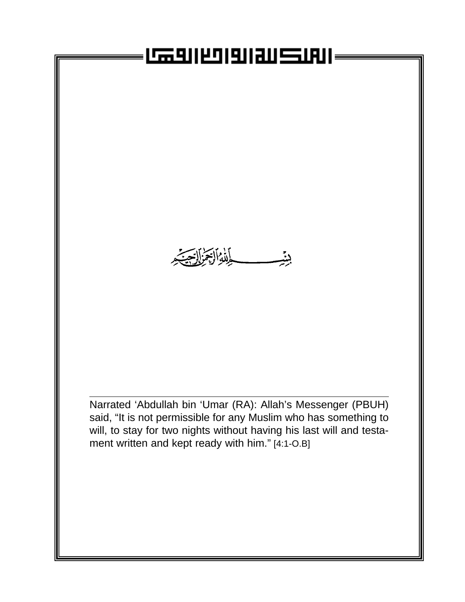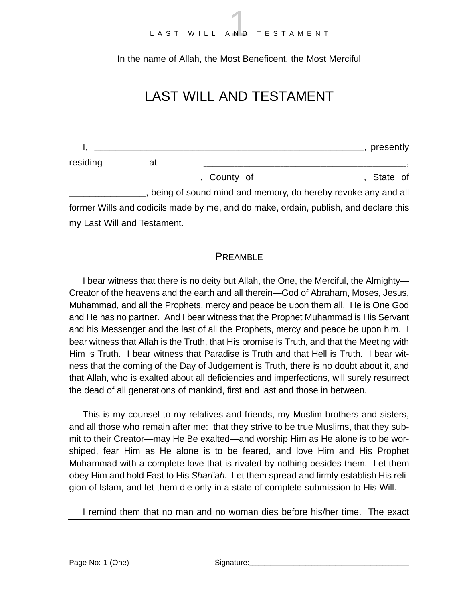In the name of Allah, the Most Beneficent, the Most Merciful

### LAST WILL AND TESTAMENT

| residing | at                          |                                                                                      |  |
|----------|-----------------------------|--------------------------------------------------------------------------------------|--|
|          |                             | ., County of ______________________________, State of                                |  |
|          |                             | being of sound mind and memory, do hereby revoke any and all                         |  |
|          |                             | former Wills and codicils made by me, and do make, ordain, publish, and declare this |  |
|          | my Last Will and Testament. |                                                                                      |  |

PREAMBLE

I bear witness that there is no deity but Allah, the One, the Merciful, the Almighty— Creator of the heavens and the earth and all therein—God of Abraham, Moses, Jesus, Muhammad, and all the Prophets, mercy and peace be upon them all. He is One God and He has no partner. And I bear witness that the Prophet Muhammad is His Servant and his Messenger and the last of all the Prophets, mercy and peace be upon him. I bear witness that Allah is the Truth, that His promise is Truth, and that the Meeting with Him is Truth. I bear witness that Paradise is Truth and that Hell is Truth. I bear witness that the coming of the Day of Judgement is Truth, there is no doubt about it, and that Allah, who is exalted about all deficiencies and imperfections, will surely resurrect the dead of all generations of mankind, first and last and those in between.

This is my counsel to my relatives and friends, my Muslim brothers and sisters, and all those who remain after me: that they strive to be true Muslims, that they submit to their Creator—may He Be exalted—and worship Him as He alone is to be worshiped, fear Him as He alone is to be feared, and love Him and His Prophet Muhammad with a complete love that is rivaled by nothing besides them. Let them obey Him and hold Fast to His *Shari'ah.* Let them spread and firmly establish His religion of Islam, and let them die only in a state of complete submission to His Will.

I remind them that no man and no woman dies before his/her time. The exact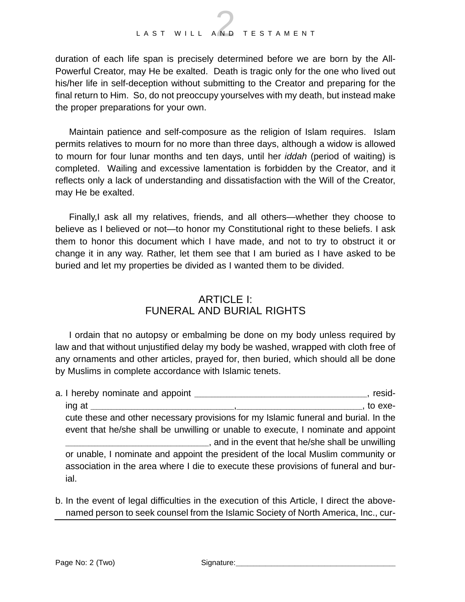duration of each life span is precisely determined before we are born by the All-Powerful Creator, may He be exalted. Death is tragic only for the one who lived out his/her life in self-deception without submitting to the Creator and preparing for the final return to Him. So, do not preoccupy yourselves with my death, but instead make the proper preparations for your own.

Maintain patience and self-composure as the religion of Islam requires. Islam permits relatives to mourn for no more than three days, although a widow is allowed to mourn for four lunar months and ten days, until her *iddah* (period of waiting) is completed. Wailing and excessive lamentation is forbidden by the Creator, and it reflects only a lack of understanding and dissatisfaction with the Will of the Creator, may He be exalted.

Finally,I ask all my relatives, friends, and all others—whether they choose to believe as I believed or not—to honor my Constitutional right to these beliefs. I ask them to honor this document which I have made, and not to try to obstruct it or change it in any way. Rather, let them see that I am buried as I have asked to be buried and let my properties be divided as I wanted them to be divided.

#### ARTICLE I: FUNERAL AND BURIAL RIGHTS

I ordain that no autopsy or embalming be done on my body unless required by law and that without unjustified delay my body be washed, wrapped with cloth free of any ornaments and other articles, prayed for, then buried, which should all be done by Muslims in complete accordance with Islamic tenets.

a. I hereby nominate and appoint \_\_\_\_\_\_\_\_\_\_\_\_\_\_\_\_\_\_\_\_\_\_\_\_\_\_\_\_\_\_\_\_\_\_\_\_\_\_\_\_\_\_\_\_\_\_\_\_\_\_\_\_\_\_\_\_\_\_\_, residing at \_\_\_\_\_\_\_\_\_\_\_\_\_\_\_\_\_\_\_\_\_\_\_\_\_\_\_\_\_\_\_\_\_\_\_\_\_\_\_\_\_\_\_\_\_\_\_\_\_,\_\_\_\_\_\_\_\_\_\_\_\_\_\_\_\_\_\_\_\_\_\_\_\_\_\_\_\_\_\_\_\_\_\_\_\_\_\_\_\_\_\_\_, to execute these and other necessary provisions for my Islamic funeral and burial. In the event that he/she shall be unwilling or unable to execute, I nominate and appoint  $\Box$ , and in the event that he/she shall be unwilling or unable, I nominate and appoint the president of the local Muslim community or association in the area where I die to execute these provisions of funeral and burial.

b. In the event of legal difficulties in the execution of this Article, I direct the abovenamed person to seek counsel from the Islamic Society of North America, Inc., cur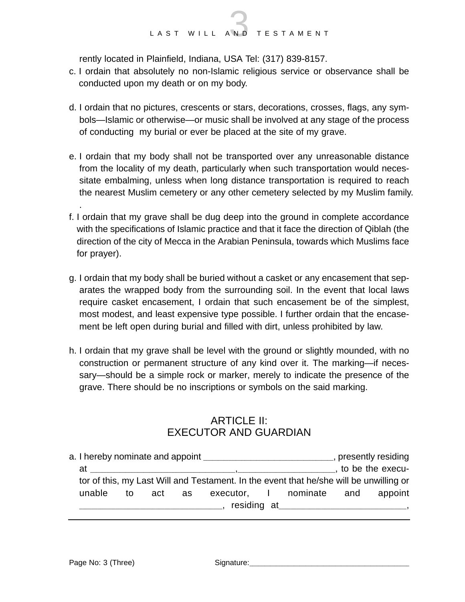rently located in Plainfield, Indiana, USA Tel: (317) 839-8157.

- c. I ordain that absolutely no non-Islamic religious service or observance shall be conducted upon my death or on my body.
- d. I ordain that no pictures, crescents or stars, decorations, crosses, flags, any symbols—Islamic or otherwise—or music shall be involved at any stage of the process of conducting my burial or ever be placed at the site of my grave.
- e. I ordain that my body shall not be transported over any unreasonable distance from the locality of my death, particularly when such transportation would necessitate embalming, unless when long distance transportation is required to reach the nearest Muslim cemetery or any other cemetery selected by my Muslim family.
- f. I ordain that my grave shall be dug deep into the ground in complete accordance with the specifications of Islamic practice and that it face the direction of Qiblah (the direction of the city of Mecca in the Arabian Peninsula, towards which Muslims face for prayer).
- g. I ordain that my body shall be buried without a casket or any encasement that separates the wrapped body from the surrounding soil. In the event that local laws require casket encasement, I ordain that such encasement be of the simplest, most modest, and least expensive type possible. I further ordain that the encasement be left open during burial and filled with dirt, unless prohibited by law.
- h. I ordain that my grave shall be level with the ground or slightly mounded, with no construction or permanent structure of any kind over it. The marking—if necessary—should be a simple rock or marker, merely to indicate the presence of the grave. There should be no inscriptions or symbols on the said marking.

#### ARTICLE II: EXECUTOR AND GUARDIAN

| a. I hereby nominate and appoint |  |  |             |  | s presently residing                                                                   |
|----------------------------------|--|--|-------------|--|----------------------------------------------------------------------------------------|
| at                               |  |  |             |  | to be the execu-                                                                       |
|                                  |  |  |             |  | tor of this, my Last Will and Testament. In the event that he/she will be unwilling or |
| unable to act as                 |  |  |             |  | executor, I nominate and appoint                                                       |
|                                  |  |  | residing at |  |                                                                                        |

.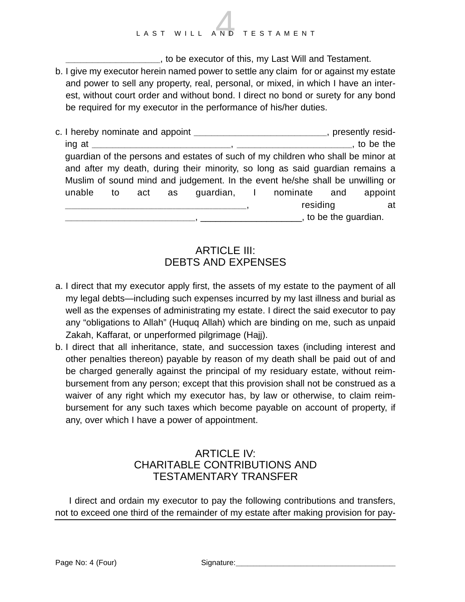\_\_\_\_\_\_\_\_\_\_\_\_\_\_\_\_\_\_\_\_\_\_\_\_\_\_\_\_\_\_\_\_, to be executor of this, my Last Will and Testament.

- b. I give my executor herein named power to settle any claim for or against my estate and power to sell any property, real, personal, or mixed, in which I have an interest, without court order and without bond. I direct no bond or surety for any bond be required for my executor in the performance of his/her duties.
- c. I hereby nominate and appoint \_\_\_\_\_\_\_\_\_\_\_\_\_\_\_\_\_\_\_\_\_\_\_\_\_\_\_\_\_\_\_, presently residing at \_\_\_\_\_\_\_\_\_\_\_\_\_\_\_\_\_\_\_\_\_\_\_\_\_\_\_\_\_\_\_\_\_\_\_\_\_\_\_\_\_\_\_\_\_\_\_, \_\_\_\_\_\_\_\_\_\_\_\_\_\_\_\_\_\_\_\_\_\_\_\_\_\_\_\_\_\_\_\_\_\_\_\_\_\_\_, to be the guardian of the persons and estates of such of my children who shall be minor at and after my death, during their minority, so long as said guardian remains a Muslim of sound mind and judgement. In the event he/she shall be unwilling or unable to act as guardian, I nominate and appoint \_\_\_\_\_\_\_\_\_\_\_\_\_\_\_\_\_\_\_\_\_\_\_\_\_\_\_\_\_\_\_\_\_\_\_\_\_\_\_\_\_\_\_\_\_\_\_\_\_\_\_\_\_\_\_\_\_\_\_, residing at  $\Box$  to be the guardian.

#### ARTICLE III: DEBTS AND EXPENSES

- a. I direct that my executor apply first, the assets of my estate to the payment of all my legal debts—including such expenses incurred by my last illness and burial as well as the expenses of administrating my estate. I direct the said executor to pay any "obligations to Allah" (Huquq Allah) which are binding on me, such as unpaid Zakah, Kaffarat, or unperformed pilgrimage (Hajj).
- b. I direct that all inheritance, state, and succession taxes (including interest and other penalties thereon) payable by reason of my death shall be paid out of and be charged generally against the principal of my residuary estate, without reimbursement from any person; except that this provision shall not be construed as a waiver of any right which my executor has, by law or otherwise, to claim reimbursement for any such taxes which become payable on account of property, if any, over which I have a power of appointment.

#### ARTICLE IV: CHARITABLE CONTRIBUTIONS AND TESTAMENTARY TRANSFER

I direct and ordain my executor to pay the following contributions and transfers, not to exceed one third of the remainder of my estate after making provision for pay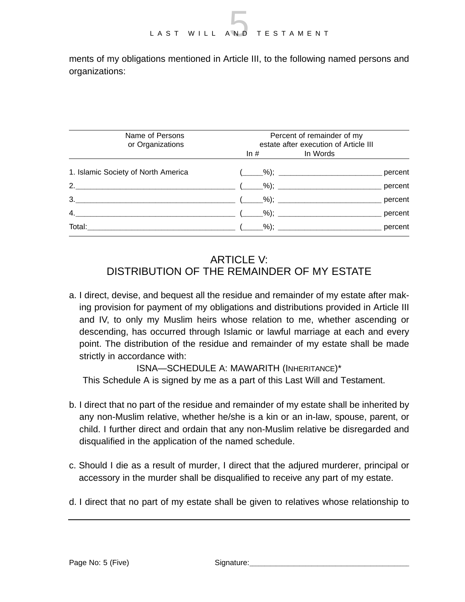ments of my obligations mentioned in Article III, to the following named persons and organizations:

| Name of Persons<br>or Organizations | Percent of remainder of my<br>estate after execution of Article III |                   |  |  |
|-------------------------------------|---------------------------------------------------------------------|-------------------|--|--|
|                                     |                                                                     | $\ln \#$ In Words |  |  |
| 1. Islamic Society of North America |                                                                     |                   |  |  |
|                                     |                                                                     |                   |  |  |
|                                     |                                                                     |                   |  |  |
|                                     |                                                                     |                   |  |  |
|                                     |                                                                     |                   |  |  |

#### ARTICLE V: DISTRIBUTION OF THE REMAINDER OF MY ESTATE

a. I direct, devise, and bequest all the residue and remainder of my estate after making provision for payment of my obligations and distributions provided in Article III and IV, to only my Muslim heirs whose relation to me, whether ascending or descending, has occurred through Islamic or lawful marriage at each and every point. The distribution of the residue and remainder of my estate shall be made strictly in accordance with:

ISNA—SCHEDULE A: MAWARITH (INHERITANCE)\* This Schedule A is signed by me as a part of this Last Will and Testament.

- b. I direct that no part of the residue and remainder of my estate shall be inherited by any non-Muslim relative, whether he/she is a kin or an in-law, spouse, parent, or child. I further direct and ordain that any non-Muslim relative be disregarded and disqualified in the application of the named schedule.
- c. Should I die as a result of murder, I direct that the adjured murderer, principal or accessory in the murder shall be disqualified to receive any part of my estate.
- d. I direct that no part of my estate shall be given to relatives whose relationship to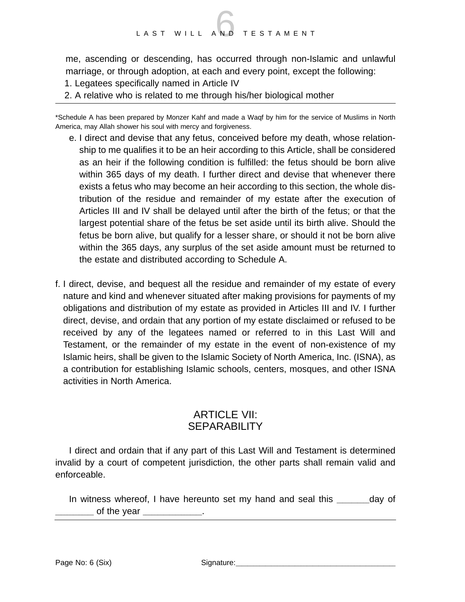me, ascending or descending, has occurred through non-Islamic and unlawful marriage, or through adoption, at each and every point, except the following:

- 1. Legatees specifically named in Article IV
- 2. A relative who is related to me through his/her biological mother

\*Schedule A has been prepared by Monzer Kahf and made a Waqf by him for the service of Muslims in North America, may Allah shower his soul with mercy and forgiveness.

- e. I direct and devise that any fetus, conceived before my death, whose relationship to me qualifies it to be an heir according to this Article, shall be considered as an heir if the following condition is fulfilled: the fetus should be born alive within 365 days of my death. I further direct and devise that whenever there exists a fetus who may become an heir according to this section, the whole distribution of the residue and remainder of my estate after the execution of Articles III and IV shall be delayed until after the birth of the fetus; or that the largest potential share of the fetus be set aside until its birth alive. Should the fetus be born alive, but qualify for a lesser share, or should it not be born alive within the 365 days, any surplus of the set aside amount must be returned to the estate and distributed according to Schedule A.
- f. I direct, devise, and bequest all the residue and remainder of my estate of every nature and kind and whenever situated after making provisions for payments of my obligations and distribution of my estate as provided in Articles III and IV. I further direct, devise, and ordain that any portion of my estate disclaimed or refused to be received by any of the legatees named or referred to in this Last Will and Testament, or the remainder of my estate in the event of non-existence of my Islamic heirs, shall be given to the Islamic Society of North America, Inc. (ISNA), as a contribution for establishing Islamic schools, centers, mosques, and other ISNA activities in North America.

#### ARTICLE VII: **SEPARABILITY**

I direct and ordain that if any part of this Last Will and Testament is determined invalid by a court of competent jurisdiction, the other parts shall remain valid and enforceable.

In witness whereof, I have hereunto set my hand and seal this \_\_\_\_\_\_\_\_\_\_\_day of of the year  $\_\_$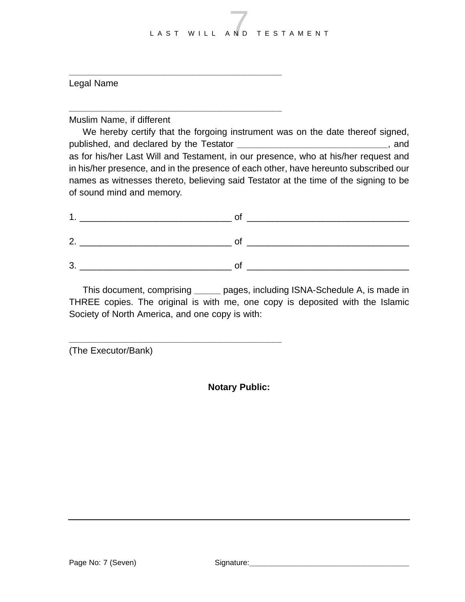Legal Name

Muslim Name, if different

\_\_\_\_\_\_\_\_\_\_\_\_\_\_\_\_\_\_\_\_\_\_\_\_\_\_\_\_\_\_\_\_\_\_\_\_\_\_\_\_\_\_\_\_\_\_\_\_\_\_\_\_\_\_\_\_\_\_\_\_\_\_\_\_\_\_\_\_\_\_\_\_

\_\_\_\_\_\_\_\_\_\_\_\_\_\_\_\_\_\_\_\_\_\_\_\_\_\_\_\_\_\_\_\_\_\_\_\_\_\_\_\_\_\_\_\_\_\_\_\_\_\_\_\_\_\_\_\_\_\_\_\_\_\_\_\_\_\_\_\_\_\_\_\_

\_\_\_\_\_\_\_\_\_\_\_\_\_\_\_\_\_\_\_\_\_\_\_\_\_\_\_\_\_\_\_\_\_\_\_\_\_\_\_\_\_\_\_\_\_\_\_\_\_\_\_\_\_\_\_\_\_\_\_\_\_\_\_\_\_\_\_\_\_\_\_\_

We hereby certify that the forgoing instrument was on the date thereof signed, published, and declared by the Testator \_\_\_\_\_\_\_\_\_\_\_\_\_\_\_\_\_\_\_\_\_\_\_\_\_\_\_\_\_\_\_\_\_\_\_, and as for his/her Last Will and Testament, in our presence, who at his/her request and in his/her presence, and in the presence of each other, have hereunto subscribed our names as witnesses thereto, believing said Testator at the time of the signing to be of sound mind and memory.

| ◠      |  |
|--------|--|
| າ<br>ີ |  |

This document, comprising \_\_\_\_\_\_\_\_\_ pages, including ISNA-Schedule A, is made in THREE copies. The original is with me, one copy is deposited with the Islamic Society of North America, and one copy is with:

(The Executor/Bank)

**Notary Public:**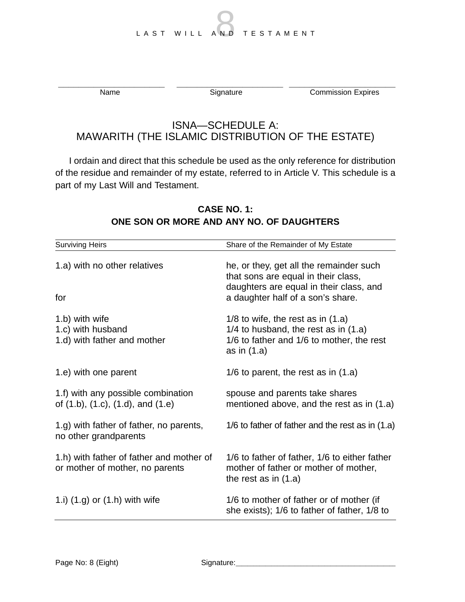**\_\_\_\_\_\_\_\_\_\_\_\_\_\_\_\_\_\_\_\_\_ \_\_\_\_\_\_\_\_\_\_\_\_\_\_\_\_\_\_\_\_\_ \_\_\_\_\_\_\_\_\_\_\_\_\_\_\_\_\_\_\_\_\_**

Name Signature Commission Expires

#### ISNA—SCHEDULE A: MAWARITH (THE ISLAMIC DISTRIBUTION OF THE ESTATE)

I ordain and direct that this schedule be used as the only reference for distribution of the residue and remainder of my estate, referred to in Article V. This schedule is a part of my Last Will and Testament.

| <b>Surviving Heirs</b>                                                      | Share of the Remainder of My Estate                                                                                                                            |
|-----------------------------------------------------------------------------|----------------------------------------------------------------------------------------------------------------------------------------------------------------|
| 1.a) with no other relatives<br>for                                         | he, or they, get all the remainder such<br>that sons are equal in their class,<br>daughters are equal in their class, and<br>a daughter half of a son's share. |
| 1.b) with wife<br>1.c) with husband<br>1.d) with father and mother          | $1/8$ to wife, the rest as in $(1.a)$<br>$1/4$ to husband, the rest as in $(1.a)$<br>1/6 to father and 1/6 to mother, the rest<br>as in $(1.a)$                |
| 1.e) with one parent                                                        | $1/6$ to parent, the rest as in $(1.a)$                                                                                                                        |
| 1.f) with any possible combination<br>of (1.b), (1.c), (1.d), and (1.e)     | spouse and parents take shares<br>mentioned above, and the rest as in (1.a)                                                                                    |
| 1.g) with father of father, no parents,<br>no other grandparents            | $1/6$ to father of father and the rest as in $(1.a)$                                                                                                           |
| 1.h) with father of father and mother of<br>or mother of mother, no parents | 1/6 to father of father, 1/6 to either father<br>mother of father or mother of mother,<br>the rest as in $(1.a)$                                               |
| 1.i) $(1.g)$ or $(1.h)$ with wife                                           | 1/6 to mother of father or of mother (if<br>she exists); 1/6 to father of father, 1/8 to                                                                       |

#### **CASE NO. 1: ONE SON OR MORE AND ANY NO. OF DAUGHTERS**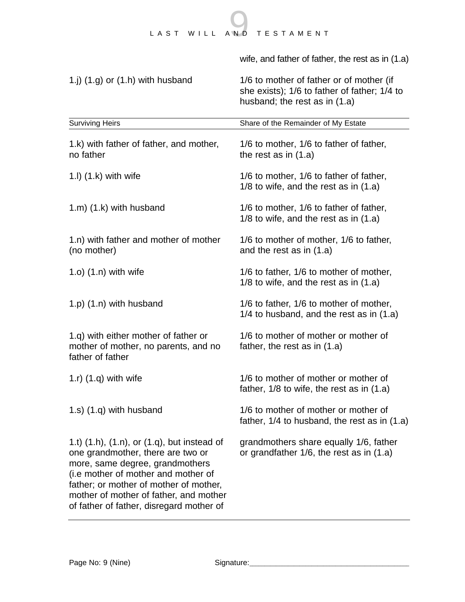|                                                                                                                                                                                                                                                                                                     | wife, and father of father, the rest as in (1.a)                                                                          |
|-----------------------------------------------------------------------------------------------------------------------------------------------------------------------------------------------------------------------------------------------------------------------------------------------------|---------------------------------------------------------------------------------------------------------------------------|
| 1.j) $(1.g)$ or $(1.h)$ with husband                                                                                                                                                                                                                                                                | 1/6 to mother of father or of mother (if<br>she exists); 1/6 to father of father; 1/4 to<br>husband; the rest as in (1.a) |
| <b>Surviving Heirs</b>                                                                                                                                                                                                                                                                              | Share of the Remainder of My Estate                                                                                       |
| 1.k) with father of father, and mother,<br>no father                                                                                                                                                                                                                                                | 1/6 to mother, 1/6 to father of father,<br>the rest as in $(1.a)$                                                         |
| $(1.1)$ $(1.1)$ with wife                                                                                                                                                                                                                                                                           | 1/6 to mother, 1/6 to father of father,<br>1/8 to wife, and the rest as in (1.a)                                          |
| 1.m) $(1.k)$ with husband                                                                                                                                                                                                                                                                           | 1/6 to mother, 1/6 to father of father,<br>1/8 to wife, and the rest as in $(1.a)$                                        |
| 1.n) with father and mother of mother<br>(no mother)                                                                                                                                                                                                                                                | 1/6 to mother of mother, 1/6 to father,<br>and the rest as in (1.a)                                                       |
| $1.0$ ) $(1.n)$ with wife                                                                                                                                                                                                                                                                           | 1/6 to father, 1/6 to mother of mother,<br>1/8 to wife, and the rest as in $(1.a)$                                        |
| $1.p$ ) $(1.n)$ with husband                                                                                                                                                                                                                                                                        | 1/6 to father, 1/6 to mother of mother,<br>$1/4$ to husband, and the rest as in $(1.a)$                                   |
| 1.q) with either mother of father or<br>mother of mother, no parents, and no<br>father of father                                                                                                                                                                                                    | 1/6 to mother of mother or mother of<br>father, the rest as in $(1.a)$                                                    |
| 1.r) $(1.q)$ with wife                                                                                                                                                                                                                                                                              | 1/6 to mother of mother or mother of<br>father, 1/8 to wife, the rest as in (1.a)                                         |
| 1.s) (1.g) with husband                                                                                                                                                                                                                                                                             | 1/6 to mother of mother or mother of<br>father, 1/4 to husband, the rest as in (1.a)                                      |
| 1.t) $(1.h)$ , $(1.n)$ , or $(1.q)$ , but instead of<br>one grandmother, there are two or<br>more, same degree, grandmothers<br>(i.e mother of mother and mother of<br>father; or mother of mother of mother,<br>mother of mother of father, and mother<br>of father of father, disregard mother of | grandmothers share equally 1/6, father<br>or grandfather 1/6, the rest as in (1.a)                                        |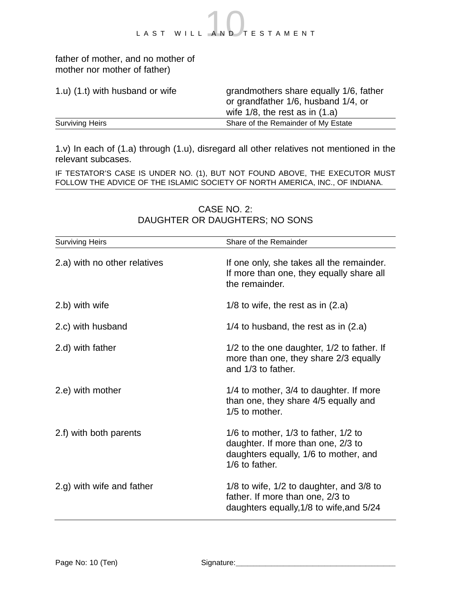#### father of mother, and no mother of mother nor mother of father)

| 1.u) (1.t) with husband or wife | grandmothers share equally 1/6, father<br>or grandfather 1/6, husband 1/4, or<br>wife $1/8$ , the rest as in $(1.a)$ |
|---------------------------------|----------------------------------------------------------------------------------------------------------------------|
| <b>Surviving Heirs</b>          | Share of the Remainder of My Estate                                                                                  |

1.v) In each of (1.a) through (1.u), disregard all other relatives not mentioned in the relevant subcases.

IF TESTATOR'S CASE IS UNDER NO. (1), BUT NOT FOUND ABOVE, THE EXECUTOR MUST FOLLOW THE ADVICE OF THE ISLAMIC SOCIETY OF NORTH AMERICA, INC., OF INDIANA.

| <b>Surviving Heirs</b>       | Share of the Remainder                                                                                                                      |
|------------------------------|---------------------------------------------------------------------------------------------------------------------------------------------|
| 2.a) with no other relatives | If one only, she takes all the remainder.<br>If more than one, they equally share all<br>the remainder.                                     |
| 2.b) with wife               | $1/8$ to wife, the rest as in $(2.a)$                                                                                                       |
| 2.c) with husband            | $1/4$ to husband, the rest as in $(2.a)$                                                                                                    |
| 2.d) with father             | 1/2 to the one daughter, 1/2 to father. If<br>more than one, they share 2/3 equally<br>and 1/3 to father.                                   |
| 2.e) with mother             | 1/4 to mother, 3/4 to daughter. If more<br>than one, they share 4/5 equally and<br>1/5 to mother.                                           |
| 2.f) with both parents       | $1/6$ to mother, $1/3$ to father, $1/2$ to<br>daughter. If more than one, 2/3 to<br>daughters equally, 1/6 to mother, and<br>1/6 to father. |
| 2.g) with wife and father    | $1/8$ to wife, $1/2$ to daughter, and $3/8$ to<br>father. If more than one, 2/3 to<br>daughters equally, 1/8 to wife, and 5/24              |

#### CASE NO. 2: DAUGHTER OR DAUGHTERS; NO SONS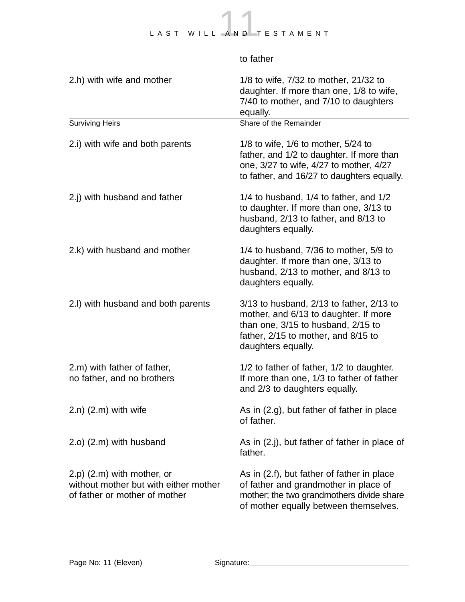#### to father

| 2.h) with wife and mother                                                                                 | 1/8 to wife, 7/32 to mother, 21/32 to<br>daughter. If more than one, 1/8 to wife,<br>7/40 to mother, and 7/10 to daughters<br>equally.                                                     |
|-----------------------------------------------------------------------------------------------------------|--------------------------------------------------------------------------------------------------------------------------------------------------------------------------------------------|
| <b>Surviving Heirs</b>                                                                                    | Share of the Remainder                                                                                                                                                                     |
| 2.i) with wife and both parents                                                                           | $1/8$ to wife, $1/6$ to mother, $5/24$ to<br>father, and 1/2 to daughter. If more than<br>one, 3/27 to wife, 4/27 to mother, 4/27<br>to father, and 16/27 to daughters equally.            |
| 2.j) with husband and father                                                                              | $1/4$ to husband, $1/4$ to father, and $1/2$<br>to daughter. If more than one, 3/13 to<br>husband, 2/13 to father, and 8/13 to<br>daughters equally.                                       |
| 2.k) with husband and mother                                                                              | $1/4$ to husband, $7/36$ to mother, $5/9$ to<br>daughter. If more than one, 3/13 to<br>husband, 2/13 to mother, and 8/13 to<br>daughters equally.                                          |
| 2.I) with husband and both parents                                                                        | $3/13$ to husband, $2/13$ to father, $2/13$ to<br>mother, and 6/13 to daughter. If more<br>than one, 3/15 to husband, 2/15 to<br>father, 2/15 to mother, and 8/15 to<br>daughters equally. |
| 2.m) with father of father,<br>no father, and no brothers                                                 | 1/2 to father of father, 1/2 to daughter.<br>If more than one, 1/3 to father of father<br>and 2/3 to daughters equally.                                                                    |
| $(2.n)(2.m)$ with wife                                                                                    | As in (2.g), but father of father in place<br>of father.                                                                                                                                   |
| 2.o) (2.m) with husband                                                                                   | As in (2.j), but father of father in place of<br>father.                                                                                                                                   |
| $(2.p)$ $(2.m)$ with mother, or<br>without mother but with either mother<br>of father or mother of mother | As in (2.f), but father of father in place<br>of father and grandmother in place of<br>mother; the two grandmothers divide share<br>of mother equally between themselves.                  |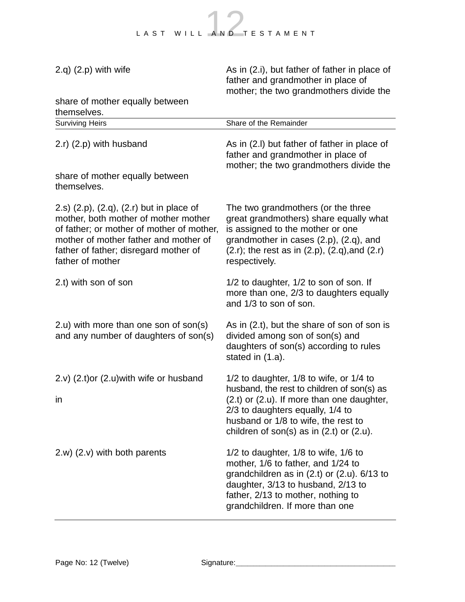2.q) (2.p) with wife As in (2.i), but father of father in place of father and grandmother in place of mother; the two grandmothers divide the share of mother equally between themselves. Surviving Heirs Share of the Remainder 2.r) (2.p) with husband  $\overline{A}$  As in (2.l) but father of father in place of father and grandmother in place of mother; the two grandmothers divide the share of mother equally between themselves. 2.s) (2.p), (2.q), (2.r) but in place of The two grandmothers (or the three mother, both mother of mother mother great grandmothers) share equally what of father; or mother of mother of mother, is assigned to the mother or one mother of mother father and mother of grandmother in cases (2.p), (2.q), and father of father; disregard mother of  $(2.r)$ ; the rest as in  $(2.p)$ ,  $(2.q)$ , and  $(2.r)$ father of mother respectively. 2.t) with son of son **1/2** to daughter, 1/2 to son of son. If more than one, 2/3 to daughters equally and 1/3 to son of son. 2.u) with more than one son of son(s) As in  $(2.1)$ , but the share of son of son is and any number of daughters of son(s) divided among son of son(s) and daughters of son(s) according to rules stated in (1.a). 2.v) (2.t)or (2.u)with wife or husband 1/2 to daughter, 1/8 to wife, or 1/4 to husband, the rest to children of son(s) as in (2.t) or (2.u). If more than one daughter, 2/3 to daughters equally, 1/4 to husband or 1/8 to wife, the rest to children of son(s) as in  $(2.t)$  or  $(2.u)$ . 2.w) (2.v) with both parents 1/2 to daughter, 1/8 to wife, 1/6 to mother, 1/6 to father, and 1/24 to grandchildren as in (2.t) or (2.u). 6/13 to daughter, 3/13 to husband, 2/13 to father, 2/13 to mother, nothing to grandchildren. If more than one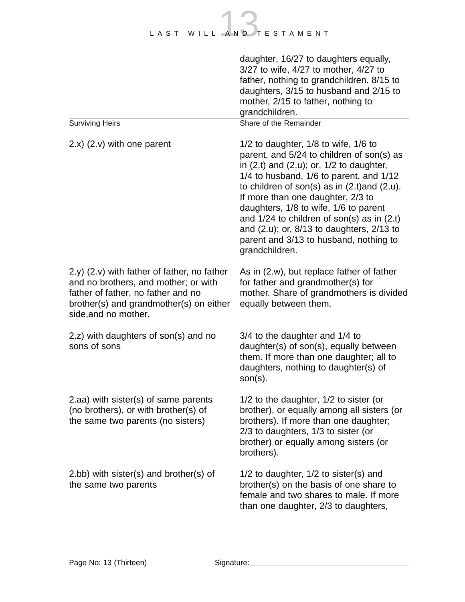| <b>Surviving Heirs</b>                                                                                                                                                                            | daughter, 16/27 to daughters equally,<br>$3/27$ to wife, $4/27$ to mother, $4/27$ to<br>father, nothing to grandchildren. 8/15 to<br>daughters, 3/15 to husband and 2/15 to<br>mother, 2/15 to father, nothing to<br>grandchildren.<br>Share of the Remainder                                                                                                                                                                                                                     |
|---------------------------------------------------------------------------------------------------------------------------------------------------------------------------------------------------|-----------------------------------------------------------------------------------------------------------------------------------------------------------------------------------------------------------------------------------------------------------------------------------------------------------------------------------------------------------------------------------------------------------------------------------------------------------------------------------|
| $(2.x)(2.v)$ with one parent                                                                                                                                                                      | $1/2$ to daughter, $1/8$ to wife, $1/6$ to<br>parent, and 5/24 to children of son(s) as<br>in $(2.t)$ and $(2.u)$ ; or, $1/2$ to daughter,<br>1/4 to husband, 1/6 to parent, and 1/12<br>to children of son(s) as in $(2.t)$ and $(2.u)$ .<br>If more than one daughter, 2/3 to<br>daughters, 1/8 to wife, 1/6 to parent<br>and $1/24$ to children of son(s) as in (2.t)<br>and (2.u); or, 8/13 to daughters, 2/13 to<br>parent and 3/13 to husband, nothing to<br>grandchildren. |
| $(2,y)$ $(2.v)$ with father of father, no father<br>and no brothers, and mother; or with<br>father of father, no father and no<br>brother(s) and grandmother(s) on either<br>side, and no mother. | As in (2.w), but replace father of father<br>for father and grandmother(s) for<br>mother. Share of grandmothers is divided<br>equally between them.                                                                                                                                                                                                                                                                                                                               |
| 2.z) with daughters of son(s) and no<br>sons of sons                                                                                                                                              | 3/4 to the daughter and 1/4 to<br>daughter(s) of son(s), equally between<br>them. If more than one daughter; all to<br>daughters, nothing to daughter(s) of<br>$son(s)$ .                                                                                                                                                                                                                                                                                                         |
| 2.aa) with sister(s) of same parents<br>(no brothers), or with brother(s) of<br>the same two parents (no sisters)                                                                                 | $1/2$ to the daughter, $1/2$ to sister (or<br>brother), or equally among all sisters (or<br>brothers). If more than one daughter;<br>2/3 to daughters, 1/3 to sister (or<br>brother) or equally among sisters (or<br>brothers).                                                                                                                                                                                                                                                   |
| $2.$ bb) with sister(s) and brother(s) of<br>the same two parents                                                                                                                                 | $1/2$ to daughter, $1/2$ to sister(s) and<br>brother(s) on the basis of one share to<br>female and two shares to male. If more<br>than one daughter, 2/3 to daughters,                                                                                                                                                                                                                                                                                                            |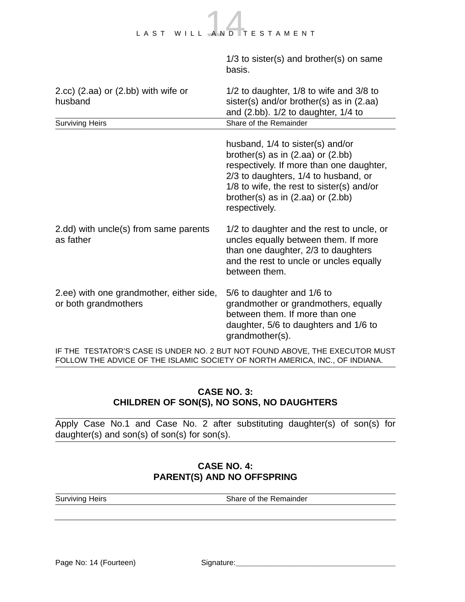|                                                                                              | $1/3$ to sister(s) and brother(s) on same<br>basis.                                                                                                                                                                                                                    |
|----------------------------------------------------------------------------------------------|------------------------------------------------------------------------------------------------------------------------------------------------------------------------------------------------------------------------------------------------------------------------|
| $(2 \cdot 2 \cdot 2)$ $(2 \cdot 2 \cdot 2)$ or $(2 \cdot 2 \cdot 2)$ with wife or<br>husband | $1/2$ to daughter, $1/8$ to wife and $3/8$ to<br>sister(s) and/or brother(s) as in $(2.aa)$<br>and (2.bb). 1/2 to daughter, 1/4 to                                                                                                                                     |
| <b>Surviving Heirs</b>                                                                       | Share of the Remainder                                                                                                                                                                                                                                                 |
|                                                                                              | husband, 1/4 to sister(s) and/or<br>brother(s) as in $(2.aa)$ or $(2.bb)$<br>respectively. If more than one daughter,<br>2/3 to daughters, 1/4 to husband, or<br>$1/8$ to wife, the rest to sister(s) and/or<br>brother(s) as in $(2.aa)$ or $(2.bb)$<br>respectively. |
| 2.dd) with uncle(s) from same parents<br>as father                                           | 1/2 to daughter and the rest to uncle, or<br>uncles equally between them. If more<br>than one daughter, 2/3 to daughters<br>and the rest to uncle or uncles equally<br>between them.                                                                                   |
| 2.ee) with one grandmother, either side,<br>or both grandmothers                             | 5/6 to daughter and 1/6 to<br>grandmother or grandmothers, equally<br>between them. If more than one<br>daughter, 5/6 to daughters and 1/6 to<br>grandmother(s).                                                                                                       |
|                                                                                              | IF THE TESTATOR'S CASE IS UNDER NO. 2 BUT NOT FOUND ABOVE, THE EXECUTOR MUST                                                                                                                                                                                           |

#### **CASE NO. 3: CHILDREN OF SON(S), NO SONS, NO DAUGHTERS**

FOLLOW THE ADVICE OF THE ISLAMIC SOCIETY OF NORTH AMERICA, INC., OF INDIANA.

Apply Case No.1 and Case No. 2 after substituting daughter(s) of son(s) for daughter(s) and son(s) of son(s) for son(s).

#### **CASE NO. 4: PARENT(S) AND NO OFFSPRING**

Surviving Heirs **Surviving Heirs** Share of the Remainder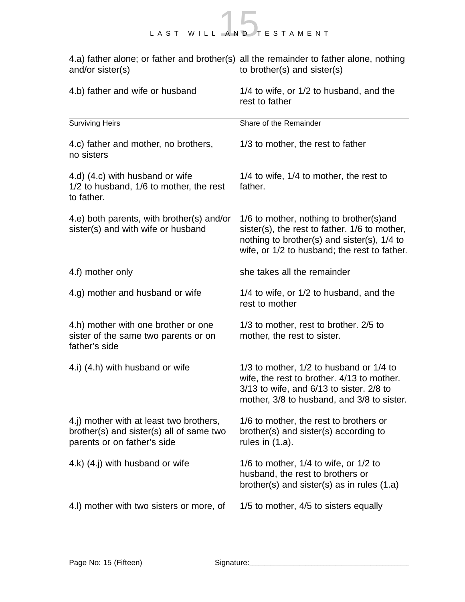| 4.a) father alone; or father and brother(s) all the remainder to father alone, nothing<br>and/or sister(s)         | to brother(s) and sister(s)                                                                                                                                                                |
|--------------------------------------------------------------------------------------------------------------------|--------------------------------------------------------------------------------------------------------------------------------------------------------------------------------------------|
| 4.b) father and wife or husband                                                                                    | 1/4 to wife, or 1/2 to husband, and the<br>rest to father                                                                                                                                  |
| <b>Surviving Heirs</b>                                                                                             | Share of the Remainder                                                                                                                                                                     |
| 4.c) father and mother, no brothers,<br>no sisters                                                                 | 1/3 to mother, the rest to father                                                                                                                                                          |
| 4.d) (4.c) with husband or wife<br>1/2 to husband, 1/6 to mother, the rest<br>to father.                           | $1/4$ to wife, $1/4$ to mother, the rest to<br>father.                                                                                                                                     |
| 4.e) both parents, with brother(s) and/or<br>sister(s) and with wife or husband                                    | 1/6 to mother, nothing to brother(s) and<br>sister(s), the rest to father. 1/6 to mother,<br>nothing to brother(s) and sister(s), $1/4$ to<br>wife, or 1/2 to husband; the rest to father. |
| 4.f) mother only                                                                                                   | she takes all the remainder                                                                                                                                                                |
| 4.g) mother and husband or wife                                                                                    | 1/4 to wife, or 1/2 to husband, and the<br>rest to mother                                                                                                                                  |
| 4.h) mother with one brother or one<br>sister of the same two parents or on<br>father's side                       | 1/3 to mother, rest to brother. 2/5 to<br>mother, the rest to sister.                                                                                                                      |
| 4.i) (4.h) with husband or wife                                                                                    | 1/3 to mother, 1/2 to husband or 1/4 to<br>wife, the rest to brother. 4/13 to mother.<br>$3/13$ to wife, and $6/13$ to sister. 2/8 to<br>mother, 3/8 to husband, and 3/8 to sister.        |
| 4.j) mother with at least two brothers,<br>brother(s) and sister(s) all of same two<br>parents or on father's side | 1/6 to mother, the rest to brothers or<br>brother(s) and sister(s) according to<br>rules in $(1.a)$ .                                                                                      |
| 4.k) (4.j) with husband or wife                                                                                    | $1/6$ to mother, $1/4$ to wife, or $1/2$ to<br>husband, the rest to brothers or<br>brother(s) and sister(s) as in rules $(1.a)$                                                            |
| 4.I) mother with two sisters or more, of                                                                           | 1/5 to mother, 4/5 to sisters equally                                                                                                                                                      |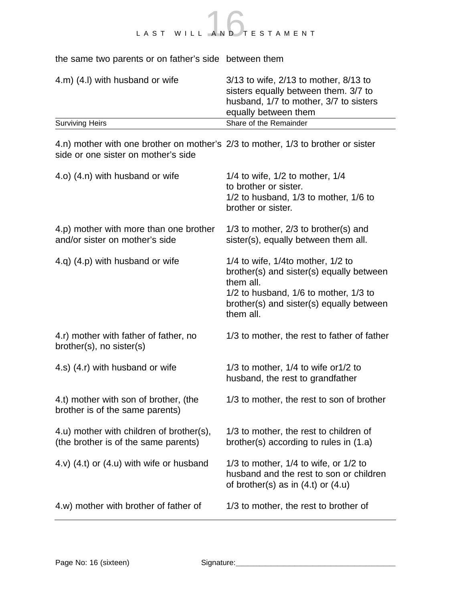

the same two parents or on father's side between them

| 4.m) (4.I) with husband or wife | $3/13$ to wife, $2/13$ to mother, $8/13$ to<br>sisters equally between them. 3/7 to<br>husband, 1/7 to mother, 3/7 to sisters<br>equally between them |
|---------------------------------|-------------------------------------------------------------------------------------------------------------------------------------------------------|
| <b>Surviving Heirs</b>          | Share of the Remainder                                                                                                                                |

4.n) mother with one brother on mother's 2/3 to mother, 1/3 to brother or sister side or one sister on mother's side

| 4.o) (4.n) with husband or wife                                                  | $1/4$ to wife, $1/2$ to mother, $1/4$<br>to brother or sister.<br>$1/2$ to husband, $1/3$ to mother, $1/6$ to<br>brother or sister.                                                                       |
|----------------------------------------------------------------------------------|-----------------------------------------------------------------------------------------------------------------------------------------------------------------------------------------------------------|
| 4.p) mother with more than one brother<br>and/or sister on mother's side         | $1/3$ to mother, $2/3$ to brother(s) and<br>sister(s), equally between them all.                                                                                                                          |
| 4.q) (4.p) with husband or wife                                                  | $1/4$ to wife, $1/4$ to mother, $1/2$ to<br>brother(s) and sister(s) equally between<br>them all.<br>$1/2$ to husband, $1/6$ to mother, $1/3$ to<br>brother(s) and sister(s) equally between<br>them all. |
| 4.r) mother with father of father, no<br>brother(s), no sister(s)                | 1/3 to mother, the rest to father of father                                                                                                                                                               |
| 4.s) (4.r) with husband or wife                                                  | $1/3$ to mother, $1/4$ to wife or $1/2$ to<br>husband, the rest to grandfather                                                                                                                            |
| 4.t) mother with son of brother, (the<br>brother is of the same parents)         | 1/3 to mother, the rest to son of brother                                                                                                                                                                 |
| 4.u) mother with children of brother(s),<br>(the brother is of the same parents) | 1/3 to mother, the rest to children of<br>brother(s) according to rules in $(1.a)$                                                                                                                        |
| $(4.1)$ (4.t) or $(4.1)$ with wife or husband                                    | $1/3$ to mother, $1/4$ to wife, or $1/2$ to<br>husband and the rest to son or children<br>of brother(s) as in $(4.t)$ or $(4.u)$                                                                          |
| 4.w) mother with brother of father of                                            | 1/3 to mother, the rest to brother of                                                                                                                                                                     |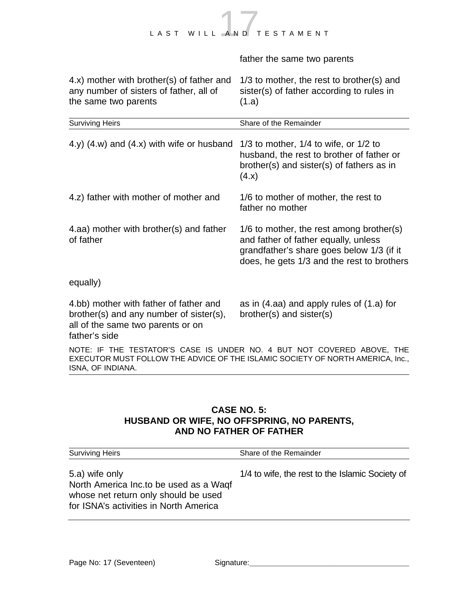

father the same two parents

| 4.x) mother with brother(s) of father and<br>any number of sisters of father, all of<br>the same two parents                            | 1/3 to mother, the rest to brother(s) and<br>sister(s) of father according to rules in<br>(1.a)                                                                             |
|-----------------------------------------------------------------------------------------------------------------------------------------|-----------------------------------------------------------------------------------------------------------------------------------------------------------------------------|
| <b>Surviving Heirs</b>                                                                                                                  | Share of the Remainder                                                                                                                                                      |
| 4.y) $(4.w)$ and $(4.x)$ with wife or husband                                                                                           | $1/3$ to mother, $1/4$ to wife, or $1/2$ to<br>husband, the rest to brother of father or<br>brother(s) and sister(s) of fathers as in<br>(4.x)                              |
| 4.z) father with mother of mother and                                                                                                   | 1/6 to mother of mother, the rest to<br>father no mother                                                                                                                    |
| 4.aa) mother with brother(s) and father<br>of father                                                                                    | 1/6 to mother, the rest among brother(s)<br>and father of father equally, unless<br>grandfather's share goes below 1/3 (if it<br>does, he gets 1/3 and the rest to brothers |
| equally)                                                                                                                                |                                                                                                                                                                             |
| 4.bb) mother with father of father and<br>brother(s) and any number of sister(s),<br>all of the same two parents or on<br>father's side | as in $(4.aa)$ and apply rules of $(1.a)$ for<br>$b$ rother(s) and sister(s)                                                                                                |
| ISNA, OF INDIANA.                                                                                                                       | NOTE: IF THE TESTATOR'S CASE IS UNDER NO. 4 BUT NOT COVERED ABOVE, THE<br>EXECUTOR MUST FOLLOW THE ADVICE OF THE ISLAMIC SOCIETY OF NORTH AMERICA, Inc.,                    |

#### **CASE NO. 5: HUSBAND OR WIFE, NO OFFSPRING, NO PARENTS, AND NO FATHER OF FATHER**

| <b>Surviving Heirs</b>                                                                                                                     | Share of the Remainder                          |
|--------------------------------------------------------------------------------------------------------------------------------------------|-------------------------------------------------|
| 5.a) wife only<br>North America Inc.to be used as a Waqf<br>whose net return only should be used<br>for ISNA's activities in North America | 1/4 to wife, the rest to the Islamic Society of |